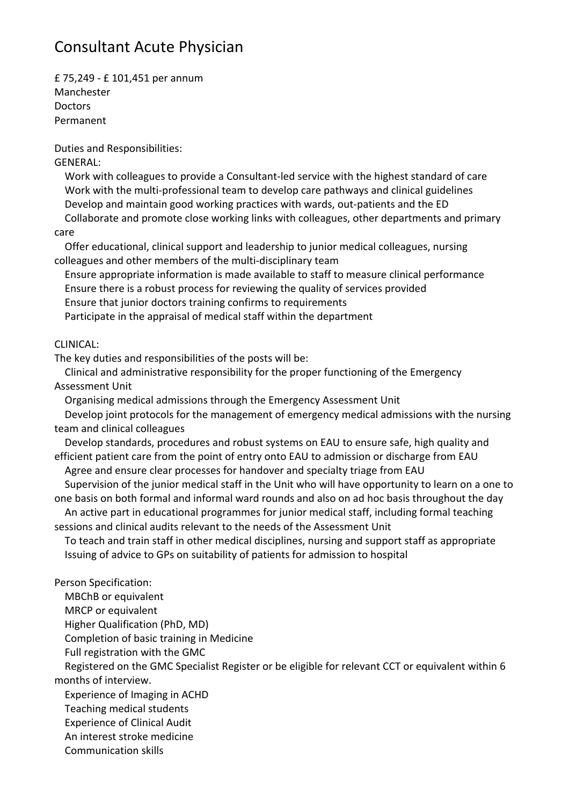## Consultant Acute Physician

£ 75,249 - £ 101,451 per annum Manchester **Doctors** Permanent

Duties and Responsibilities:

## GENERAL:

Work with colleagues to provide a Consultant-led service with the highest standard of care Work with the multi-professional team to develop care pathways and clinical guidelines Develop and maintain good working practices with wards, out-patients and the ED

Collaborate and promote close working links with colleagues, other departments and primary care

Offer educational, clinical support and leadership to junior medical colleagues, nursing colleagues and other members of the multi-disciplinary team

Ensure appropriate information is made available to staff to measure clinical performance Ensure there is a robust process for reviewing the quality of services provided

Ensure that junior doctors training confirms to requirements

Participate in the appraisal of medical staff within the department

## CLINICAL:

The key duties and responsibilities of the posts will be:

Clinical and administrative responsibility for the proper functioning of the Emergency Assessment Unit

Organising medical admissions through the Emergency Assessment Unit

Develop joint protocols for the management of emergency medical admissions with the nursing team and clinical colleagues

Develop standards, procedures and robust systems on EAU to ensure safe, high quality and efficient patient care from the point of entry onto EAU to admission or discharge from EAU

Agree and ensure clear processes for handover and specialty triage from EAU

Supervision of the junior medical staff in the Unit who will have opportunity to learn on a one to one basis on both formal and informal ward rounds and also on ad hoc basis throughout the day

An active part in educational programmes for junior medical staff, including formal teaching sessions and clinical audits relevant to the needs of the Assessment Unit

To teach and train staff in other medical disciplines, nursing and support staff as appropriate Issuing of advice to GPs on suitability of patients for admission to hospital

Person Specification:

MBChB or equivalent

MRCP or equivalent

Higher Qualification (PhD, MD)

Completion of basic training in Medicine

Full registration with the GMC

Registered on the GMC Specialist Register or be eligible for relevant CCT or equivalent within 6 months of interview.

Experience of Imaging in ACHD

- Teaching medical students
- Experience of Clinical Audit
- An interest stroke medicine
- Communication skills